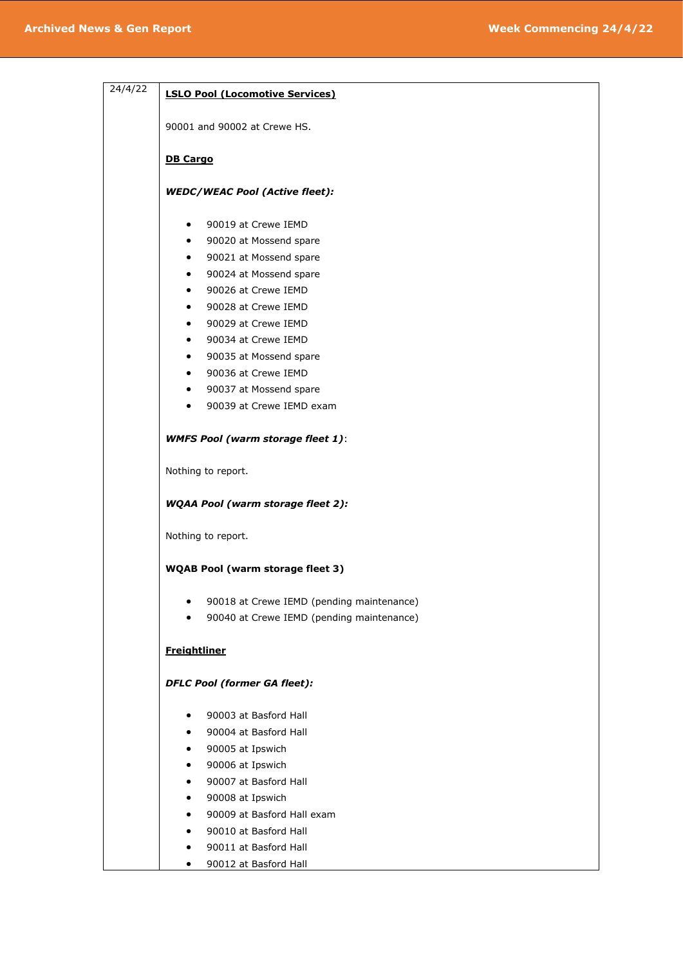| 24/4/22 | <b>LSLO Pool (Locomotive Services)</b>         |
|---------|------------------------------------------------|
|         | 90001 and 90002 at Crewe HS.                   |
|         | <b>DB Cargo</b>                                |
|         | <b>WEDC/WEAC Pool (Active fleet):</b>          |
|         | 90019 at Crewe IEMD<br>$\bullet$               |
|         | 90020 at Mossend spare<br>$\bullet$            |
|         | 90021 at Mossend spare<br>$\bullet$            |
|         | 90024 at Mossend spare<br>$\bullet$            |
|         | 90026 at Crewe IEMD<br>$\bullet$               |
|         | 90028 at Crewe IEMD<br>$\bullet$               |
|         | 90029 at Crewe IEMD<br>$\bullet$               |
|         | 90034 at Crewe IEMD<br>$\bullet$               |
|         | 90035 at Mossend spare<br>$\bullet$            |
|         | 90036 at Crewe IEMD<br>$\bullet$               |
|         | 90037 at Mossend spare<br>$\bullet$            |
|         | 90039 at Crewe IEMD exam<br>$\bullet$          |
|         |                                                |
|         | <b>WMFS Pool (warm storage fleet 1):</b>       |
|         | Nothing to report.                             |
|         | <b>WQAA Pool (warm storage fleet 2):</b>       |
|         | Nothing to report.                             |
|         | <b>WQAB Pool (warm storage fleet 3)</b>        |
|         | 90018 at Crewe IEMD (pending maintenance)<br>٠ |
|         | 90040 at Crewe IEMD (pending maintenance)      |
|         | <b>Freightliner</b>                            |
|         | <b>DFLC Pool (former GA fleet):</b>            |
|         | 90003 at Basford Hall                          |
|         | 90004 at Basford Hall<br>$\bullet$             |
|         | 90005 at Ipswich                               |
|         | 90006 at Ipswich                               |
|         | 90007 at Basford Hall<br>$\bullet$             |
|         | 90008 at Ipswich<br>٠                          |
|         | 90009 at Basford Hall exam                     |
|         | 90010 at Basford Hall                          |
|         | 90011 at Basford Hall                          |
|         | 90012 at Basford Hall<br>$\bullet$             |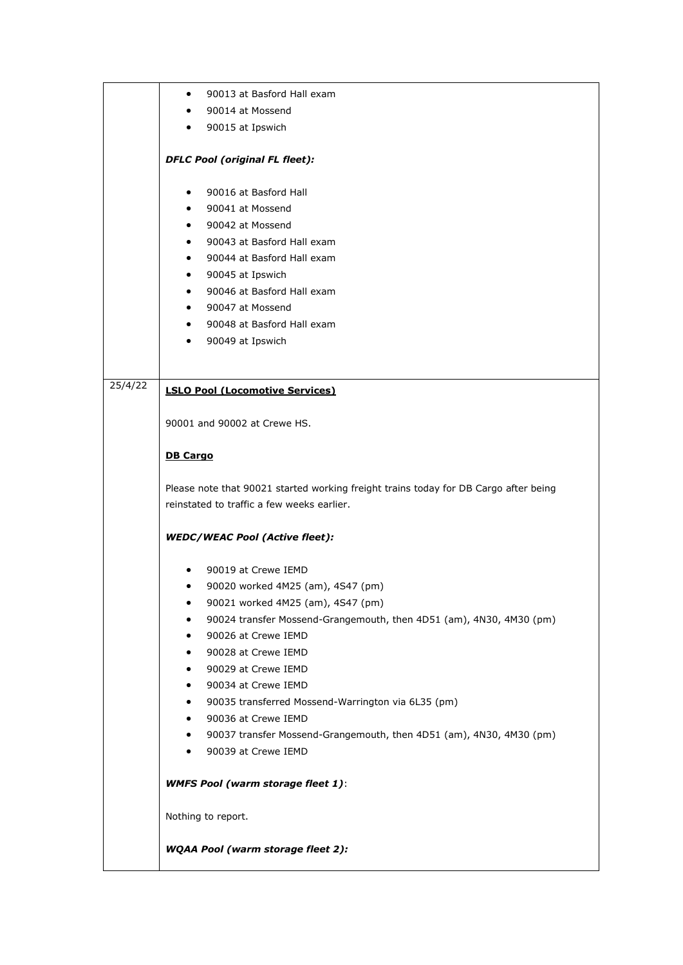|         | 90013 at Basford Hall exam<br>$\bullet$                                              |
|---------|--------------------------------------------------------------------------------------|
|         | 90014 at Mossend                                                                     |
|         | 90015 at Ipswich                                                                     |
|         |                                                                                      |
|         | <b>DFLC Pool (original FL fleet):</b>                                                |
|         | 90016 at Basford Hall<br>$\bullet$                                                   |
|         | 90041 at Mossend<br>$\bullet$                                                        |
|         | 90042 at Mossend<br>$\bullet$                                                        |
|         | 90043 at Basford Hall exam<br>٠                                                      |
|         | 90044 at Basford Hall exam<br>٠                                                      |
|         | 90045 at Ipswich<br>$\bullet$                                                        |
|         | 90046 at Basford Hall exam<br>$\bullet$                                              |
|         | 90047 at Mossend<br>$\bullet$                                                        |
|         | 90048 at Basford Hall exam<br>$\bullet$                                              |
|         | 90049 at Ipswich<br>٠                                                                |
|         |                                                                                      |
|         |                                                                                      |
| 25/4/22 | <b>LSLO Pool (Locomotive Services)</b>                                               |
|         |                                                                                      |
|         | 90001 and 90002 at Crewe HS.                                                         |
|         | <b>DB Cargo</b>                                                                      |
|         |                                                                                      |
|         | Please note that 90021 started working freight trains today for DB Cargo after being |
|         | reinstated to traffic a few weeks earlier.                                           |
|         | <b>WEDC/WEAC Pool (Active fleet):</b>                                                |
|         |                                                                                      |
|         | 90019 at Crewe IEMD<br>٠                                                             |
|         | 90020 worked 4M25 (am), 4S47 (pm)<br>$\bullet$                                       |
|         | 90021 worked 4M25 (am), 4S47 (pm)                                                    |
|         | 90024 transfer Mossend-Grangemouth, then 4D51 (am), 4N30, 4M30 (pm)                  |
|         | 90026 at Crewe IEMD                                                                  |
|         | 90028 at Crewe IEMD                                                                  |
|         | 90029 at Crewe IEMD<br>٠                                                             |
|         | 90034 at Crewe IEMD                                                                  |
|         | 90035 transferred Mossend-Warrington via 6L35 (pm)<br>٠                              |
|         | 90036 at Crewe IEMD                                                                  |
|         | 90037 transfer Mossend-Grangemouth, then 4D51 (am), 4N30, 4M30 (pm)                  |
|         | 90039 at Crewe IEMD<br>$\bullet$                                                     |
|         | <b>WMFS Pool (warm storage fleet 1):</b>                                             |
|         |                                                                                      |
|         | Nothing to report.                                                                   |
|         | <b>WQAA Pool (warm storage fleet 2):</b>                                             |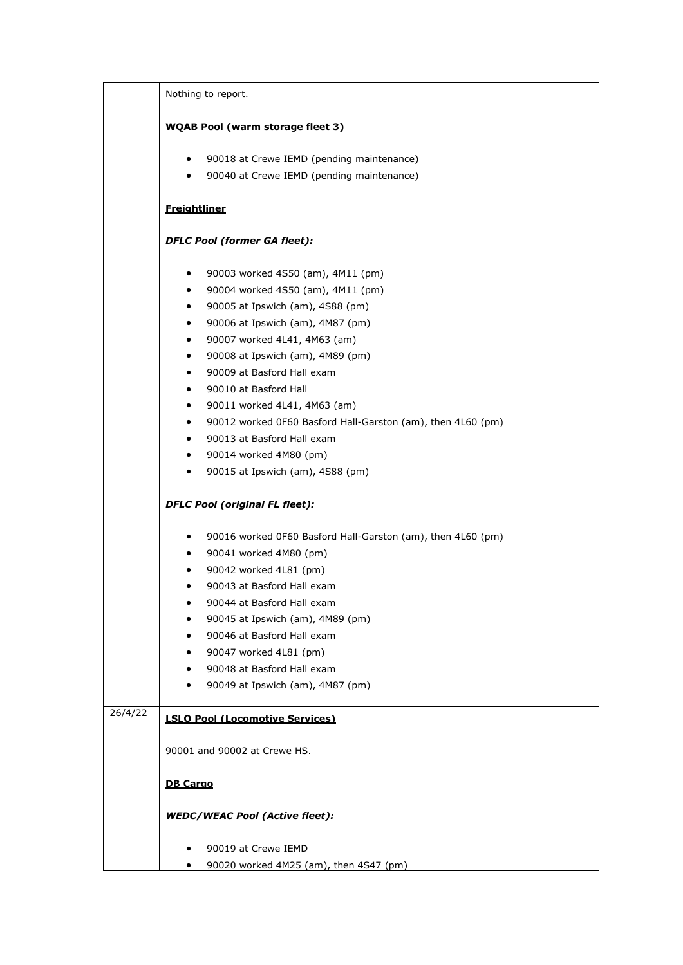|         | Nothing to report.                                                       |
|---------|--------------------------------------------------------------------------|
|         | <b>WQAB Pool (warm storage fleet 3)</b>                                  |
|         | 90018 at Crewe IEMD (pending maintenance)<br>$\bullet$                   |
|         | 90040 at Crewe IEMD (pending maintenance)<br>$\bullet$                   |
|         | <b>Freightliner</b>                                                      |
|         | <b>DFLC Pool (former GA fleet):</b>                                      |
|         | 90003 worked 4S50 (am), 4M11 (pm)<br>$\bullet$                           |
|         | 90004 worked 4S50 (am), 4M11 (pm)<br>$\bullet$                           |
|         | 90005 at Ipswich (am), 4S88 (pm)<br>٠                                    |
|         | 90006 at Ipswich (am), 4M87 (pm)<br>$\bullet$                            |
|         | 90007 worked 4L41, 4M63 (am)<br>٠                                        |
|         | 90008 at Ipswich (am), 4M89 (pm)<br>$\bullet$                            |
|         | 90009 at Basford Hall exam<br>$\bullet$                                  |
|         | 90010 at Basford Hall<br>٠                                               |
|         | 90011 worked 4L41, 4M63 (am)<br>$\bullet$                                |
|         | 90012 worked 0F60 Basford Hall-Garston (am), then 4L60 (pm)<br>٠         |
|         | 90013 at Basford Hall exam<br>$\bullet$                                  |
|         | 90014 worked 4M80 (pm)<br>$\bullet$                                      |
|         | 90015 at Ipswich (am), 4S88 (pm)<br>$\bullet$                            |
|         | <b>DFLC Pool (original FL fleet):</b>                                    |
|         | 90016 worked 0F60 Basford Hall-Garston (am), then 4L60 (pm)<br>$\bullet$ |
|         | 90041 worked 4M80 (pm)<br>$\bullet$                                      |
|         | 90042 worked 4L81 (pm)<br>$\bullet$                                      |
|         | 90043 at Basford Hall exam<br>٠                                          |
|         | 90044 at Basford Hall exam                                               |
|         | 90045 at Ipswich (am), 4M89 (pm)                                         |
|         | 90046 at Basford Hall exam                                               |
|         | 90047 worked 4L81 (pm)<br>٠                                              |
|         | 90048 at Basford Hall exam                                               |
|         | 90049 at Ipswich (am), 4M87 (pm)                                         |
| 26/4/22 | <b>LSLO Pool (Locomotive Services)</b>                                   |
|         |                                                                          |
|         | 90001 and 90002 at Crewe HS.                                             |
|         | <b>DB Cargo</b>                                                          |
|         | <b>WEDC/WEAC Pool (Active fleet):</b>                                    |
|         |                                                                          |
|         | 90019 at Crewe IEMD                                                      |
|         | 90020 worked 4M25 (am), then 4S47 (pm)<br>٠                              |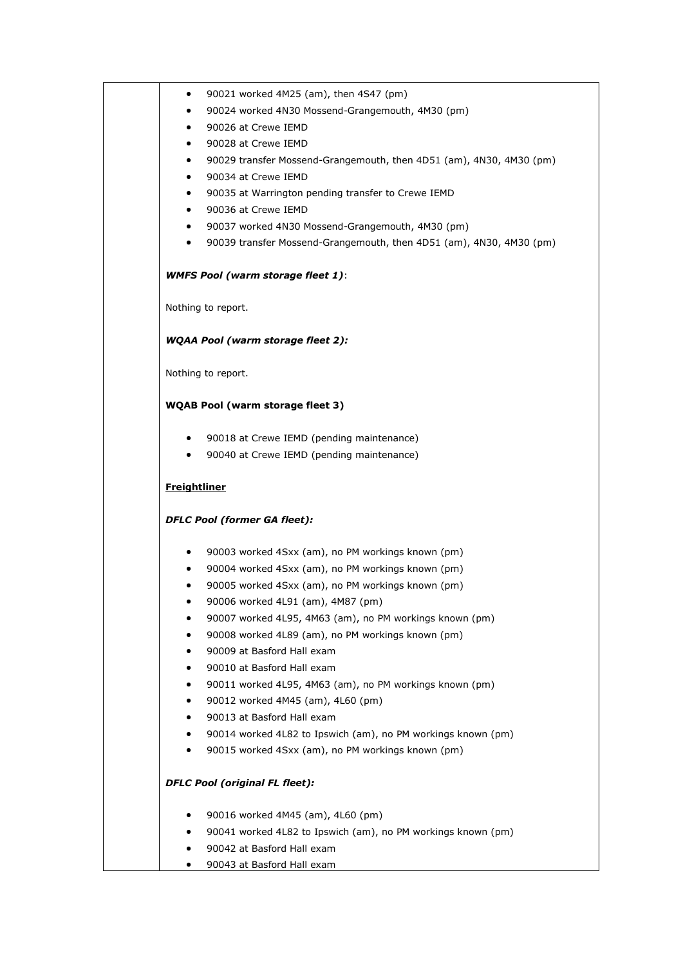| ٠         | 90021 worked 4M25 (am), then 4S47 (pm)                              |
|-----------|---------------------------------------------------------------------|
| ٠         | 90024 worked 4N30 Mossend-Grangemouth, 4M30 (pm)                    |
| ٠         | 90026 at Crewe IEMD                                                 |
| $\bullet$ | 90028 at Crewe IEMD                                                 |
| $\bullet$ | 90029 transfer Mossend-Grangemouth, then 4D51 (am), 4N30, 4M30 (pm) |
| ٠         | 90034 at Crewe IEMD                                                 |
| ٠         | 90035 at Warrington pending transfer to Crewe IEMD                  |
| $\bullet$ | 90036 at Crewe IEMD                                                 |
| $\bullet$ | 90037 worked 4N30 Mossend-Grangemouth, 4M30 (pm)                    |
| ٠         | 90039 transfer Mossend-Grangemouth, then 4D51 (am), 4N30, 4M30 (pm) |
|           | <b>WMFS Pool (warm storage fleet 1):</b>                            |
|           | Nothing to report.                                                  |
|           | <b>WQAA Pool (warm storage fleet 2):</b>                            |
|           | Nothing to report.                                                  |
|           | <b>WQAB Pool (warm storage fleet 3)</b>                             |
| $\bullet$ | 90018 at Crewe IEMD (pending maintenance)                           |
|           | 90040 at Crewe IEMD (pending maintenance)                           |
|           | <b>DFLC Pool (former GA fleet):</b>                                 |
| ٠         | 90003 worked 4Sxx (am), no PM workings known (pm)                   |
| $\bullet$ | 90004 worked 4Sxx (am), no PM workings known (pm)                   |
| ٠         | 90005 worked 4Sxx (am), no PM workings known (pm)                   |
|           | 90006 worked 4L91 (am), 4M87 (pm)                                   |
|           |                                                                     |
|           | 90007 worked 4L95, 4M63 (am), no PM workings known (pm)             |
| $\bullet$ | 90008 worked 4L89 (am), no PM workings known (pm)                   |
| $\bullet$ | 90009 at Basford Hall exam                                          |
| $\bullet$ | 90010 at Basford Hall exam                                          |
| ٠         | 90011 worked 4L95, 4M63 (am), no PM workings known (pm)             |
| $\bullet$ | 90012 worked 4M45 (am), 4L60 (pm)                                   |
| $\bullet$ | 90013 at Basford Hall exam                                          |
| $\bullet$ | 90014 worked 4L82 to Ipswich (am), no PM workings known (pm)        |
| $\bullet$ | 90015 worked 4Sxx (am), no PM workings known (pm)                   |
|           | <b>DFLC Pool (original FL fleet):</b>                               |
| ٠         |                                                                     |
|           | 90016 worked 4M45 (am), 4L60 (pm)                                   |
|           | 90041 worked 4L82 to Ipswich (am), no PM workings known (pm)        |
| ٠         | 90042 at Basford Hall exam<br>90043 at Basford Hall exam            |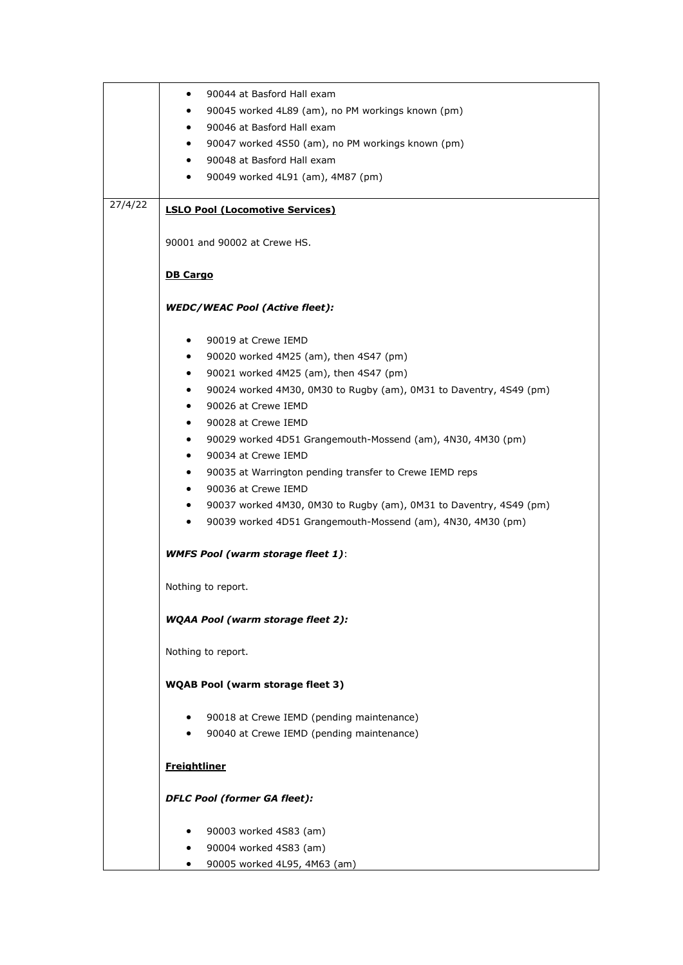|         | 90044 at Basford Hall exam<br>$\bullet$                                         |
|---------|---------------------------------------------------------------------------------|
|         | 90045 worked 4L89 (am), no PM workings known (pm)<br>٠                          |
|         | 90046 at Basford Hall exam<br>$\bullet$                                         |
|         | 90047 worked 4S50 (am), no PM workings known (pm)<br>٠                          |
|         | 90048 at Basford Hall exam<br>$\bullet$                                         |
|         | $\bullet$                                                                       |
|         | 90049 worked 4L91 (am), 4M87 (pm)                                               |
| 27/4/22 |                                                                                 |
|         | <b>LSLO Pool (Locomotive Services)</b>                                          |
|         |                                                                                 |
|         | 90001 and 90002 at Crewe HS.                                                    |
|         |                                                                                 |
|         | <b>DB Cargo</b>                                                                 |
|         |                                                                                 |
|         | <b>WEDC/WEAC Pool (Active fleet):</b>                                           |
|         |                                                                                 |
|         | 90019 at Crewe IEMD<br>$\bullet$                                                |
|         | $\bullet$                                                                       |
|         | 90020 worked 4M25 (am), then 4S47 (pm)                                          |
|         | 90021 worked 4M25 (am), then 4S47 (pm)<br>$\bullet$                             |
|         | 90024 worked 4M30, 0M30 to Rugby (am), 0M31 to Daventry, 4S49 (pm)<br>٠         |
|         | 90026 at Crewe IEMD<br>$\bullet$                                                |
|         | 90028 at Crewe IEMD<br>$\bullet$                                                |
|         | 90029 worked 4D51 Grangemouth-Mossend (am), 4N30, 4M30 (pm)<br>$\bullet$        |
|         | 90034 at Crewe IEMD<br>$\bullet$                                                |
|         | 90035 at Warrington pending transfer to Crewe IEMD reps<br>$\bullet$            |
|         | 90036 at Crewe IEMD<br>$\bullet$                                                |
|         | 90037 worked 4M30, 0M30 to Rugby (am), 0M31 to Daventry, 4S49 (pm)<br>$\bullet$ |
|         |                                                                                 |
|         | 90039 worked 4D51 Grangemouth-Mossend (am), 4N30, 4M30 (pm)<br>$\bullet$        |
|         |                                                                                 |
|         | <b>WMFS Pool (warm storage fleet 1):</b>                                        |
|         |                                                                                 |
|         | Nothing to report.                                                              |
|         |                                                                                 |
|         | <b>WQAA Pool (warm storage fleet 2):</b>                                        |
|         |                                                                                 |
|         | Nothing to report.                                                              |
|         |                                                                                 |
|         | <b>WQAB Pool (warm storage fleet 3)</b>                                         |
|         |                                                                                 |
|         | 90018 at Crewe IEMD (pending maintenance)<br>$\bullet$                          |
|         | 90040 at Crewe IEMD (pending maintenance)<br>$\bullet$                          |
|         |                                                                                 |
|         |                                                                                 |
|         | <b>Freightliner</b>                                                             |
|         |                                                                                 |
|         | <b>DFLC Pool (former GA fleet):</b>                                             |
|         |                                                                                 |
|         | 90003 worked 4S83 (am)<br>$\bullet$                                             |
|         | 90004 worked 4S83 (am)<br>$\bullet$                                             |
|         | 90005 worked 4L95, 4M63 (am)<br>$\bullet$                                       |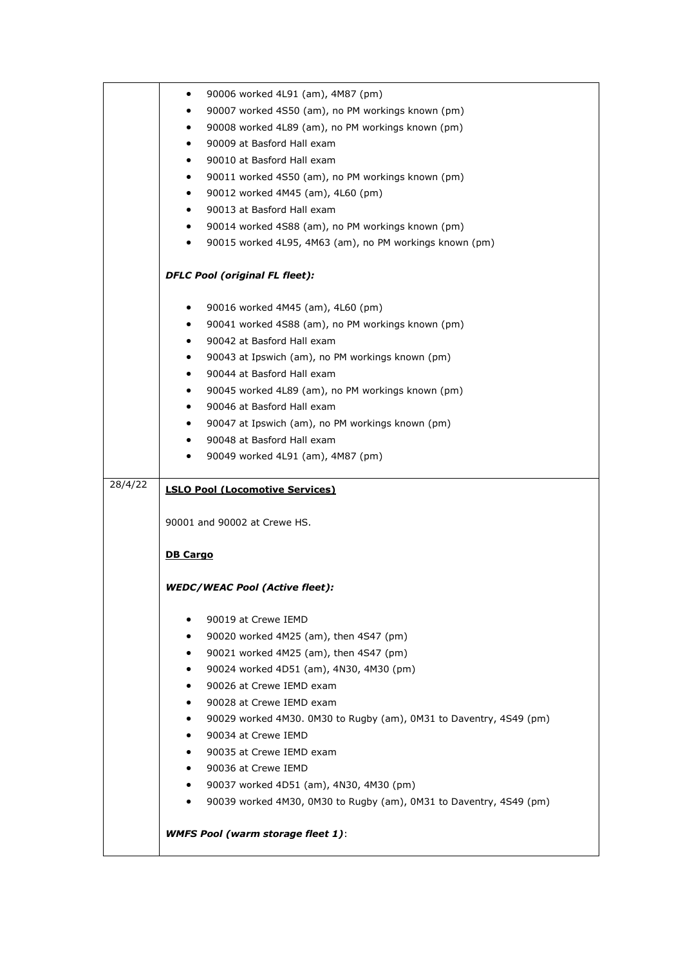|         | 90006 worked 4L91 (am), 4M87 (pm)<br>٠                                          |
|---------|---------------------------------------------------------------------------------|
|         | 90007 worked 4S50 (am), no PM workings known (pm)<br>٠                          |
|         | 90008 worked 4L89 (am), no PM workings known (pm)<br>٠                          |
|         | 90009 at Basford Hall exam<br>٠                                                 |
|         | 90010 at Basford Hall exam<br>$\bullet$                                         |
|         | 90011 worked 4S50 (am), no PM workings known (pm)<br>٠                          |
|         | 90012 worked 4M45 (am), 4L60 (pm)<br>$\bullet$                                  |
|         | 90013 at Basford Hall exam<br>$\bullet$                                         |
|         | 90014 worked 4S88 (am), no PM workings known (pm)<br>٠                          |
|         | 90015 worked 4L95, 4M63 (am), no PM workings known (pm)<br>$\bullet$            |
|         |                                                                                 |
|         | <b>DFLC Pool (original FL fleet):</b>                                           |
|         | 90016 worked 4M45 (am), 4L60 (pm)<br>٠                                          |
|         | 90041 worked 4S88 (am), no PM workings known (pm)<br>$\bullet$                  |
|         | 90042 at Basford Hall exam<br>$\bullet$                                         |
|         |                                                                                 |
|         | 90043 at Ipswich (am), no PM workings known (pm)<br>90044 at Basford Hall exam  |
|         | $\bullet$                                                                       |
|         | 90045 worked 4L89 (am), no PM workings known (pm)<br>٠                          |
|         | 90046 at Basford Hall exam<br>$\bullet$                                         |
|         | 90047 at Ipswich (am), no PM workings known (pm)<br>$\bullet$                   |
|         | 90048 at Basford Hall exam<br>$\bullet$                                         |
|         | 90049 worked 4L91 (am), 4M87 (pm)<br>٠                                          |
| 28/4/22 | <b>LSLO Pool (Locomotive Services)</b>                                          |
|         |                                                                                 |
|         | 90001 and 90002 at Crewe HS.                                                    |
|         |                                                                                 |
|         | <b>DB Cargo</b>                                                                 |
|         |                                                                                 |
|         | <b>WEDC/WEAC Pool (Active fleet):</b>                                           |
|         |                                                                                 |
|         | 90019 at Crewe IEMD                                                             |
|         | 90020 worked 4M25 (am), then 4S47 (pm)<br>٠                                     |
|         | 90021 worked 4M25 (am), then 4S47 (pm)                                          |
|         | 90024 worked 4D51 (am), 4N30, 4M30 (pm)<br>٠                                    |
|         | 90026 at Crewe IEMD exam                                                        |
|         | 90028 at Crewe IEMD exam                                                        |
|         | 90029 worked 4M30. 0M30 to Rugby (am), 0M31 to Daventry, 4S49 (pm)<br>$\bullet$ |
|         | 90034 at Crewe IEMD                                                             |
|         | 90035 at Crewe IEMD exam<br>٠                                                   |
|         | 90036 at Crewe IEMD                                                             |
|         | 90037 worked 4D51 (am), 4N30, 4M30 (pm)                                         |
|         | 90039 worked 4M30, 0M30 to Rugby (am), 0M31 to Daventry, 4S49 (pm)              |
|         |                                                                                 |
|         | <b>WMFS Pool (warm storage fleet 1):</b>                                        |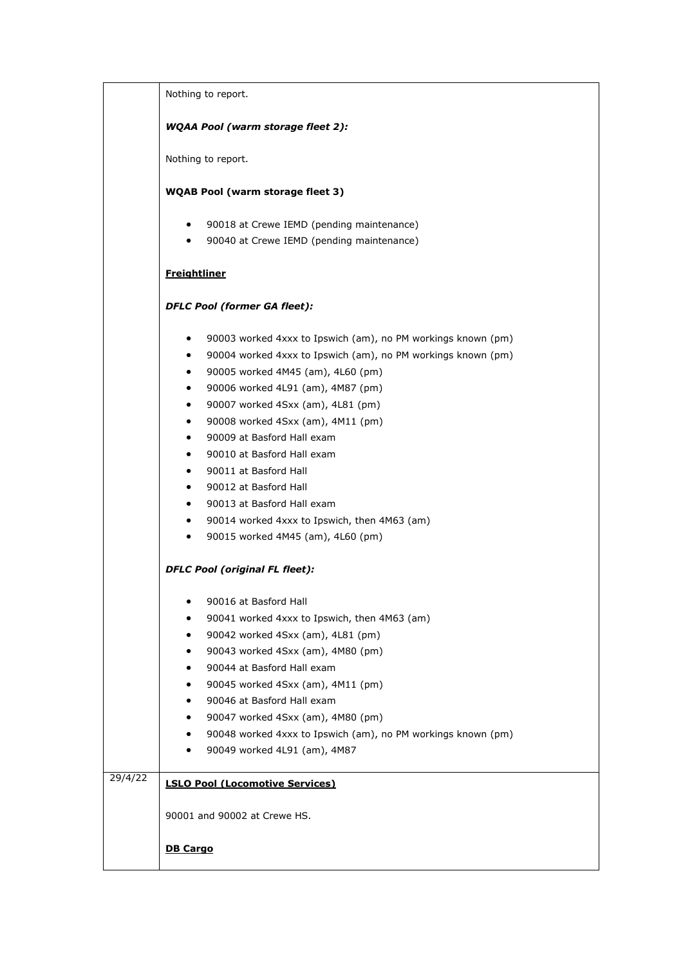|         | Nothing to report.                                                                                                                                                                                                                                                                                                                                                                                                                                                                                                                                                                                                                                                                                                  |
|---------|---------------------------------------------------------------------------------------------------------------------------------------------------------------------------------------------------------------------------------------------------------------------------------------------------------------------------------------------------------------------------------------------------------------------------------------------------------------------------------------------------------------------------------------------------------------------------------------------------------------------------------------------------------------------------------------------------------------------|
|         | <b>WQAA Pool (warm storage fleet 2):</b>                                                                                                                                                                                                                                                                                                                                                                                                                                                                                                                                                                                                                                                                            |
|         | Nothing to report.                                                                                                                                                                                                                                                                                                                                                                                                                                                                                                                                                                                                                                                                                                  |
|         | <b>WQAB Pool (warm storage fleet 3)</b>                                                                                                                                                                                                                                                                                                                                                                                                                                                                                                                                                                                                                                                                             |
|         | 90018 at Crewe IEMD (pending maintenance)<br>٠<br>90040 at Crewe IEMD (pending maintenance)<br>$\bullet$                                                                                                                                                                                                                                                                                                                                                                                                                                                                                                                                                                                                            |
|         | <b>Freightliner</b>                                                                                                                                                                                                                                                                                                                                                                                                                                                                                                                                                                                                                                                                                                 |
|         | <b>DFLC Pool (former GA fleet):</b>                                                                                                                                                                                                                                                                                                                                                                                                                                                                                                                                                                                                                                                                                 |
|         | 90003 worked 4xxx to Ipswich (am), no PM workings known (pm)<br>$\bullet$<br>90004 worked 4xxx to Ipswich (am), no PM workings known (pm)<br>$\bullet$<br>90005 worked 4M45 (am), 4L60 (pm)<br>$\bullet$<br>90006 worked 4L91 (am), 4M87 (pm)<br>٠<br>90007 worked 4Sxx (am), 4L81 (pm)<br>$\bullet$<br>90008 worked 4Sxx (am), 4M11 (pm)<br>$\bullet$<br>90009 at Basford Hall exam<br>$\bullet$<br>90010 at Basford Hall exam<br>$\bullet$<br>90011 at Basford Hall<br>$\bullet$<br>90012 at Basford Hall<br>$\bullet$<br>90013 at Basford Hall exam<br>$\bullet$<br>90014 worked 4xxx to Ipswich, then 4M63 (am)<br>$\bullet$<br>90015 worked 4M45 (am), 4L60 (pm)<br>٠<br><b>DFLC Pool (original FL fleet):</b> |
|         | 90016 at Basford Hall<br>٠<br>90041 worked 4xxx to Ipswich, then 4M63 (am)<br>90042 worked 4Sxx (am), 4L81 (pm)<br>٠<br>90043 worked 4Sxx (am), 4M80 (pm)<br>٠<br>90044 at Basford Hall exam<br>٠<br>90045 worked 4Sxx (am), 4M11 (pm)<br>٠<br>90046 at Basford Hall exam<br>٠<br>90047 worked 4Sxx (am), 4M80 (pm)<br>٠<br>90048 worked 4xxx to Ipswich (am), no PM workings known (pm)<br>٠<br>90049 worked 4L91 (am), 4M87<br>٠                                                                                                                                                                                                                                                                                  |
| 29/4/22 | <b>LSLO Pool (Locomotive Services)</b>                                                                                                                                                                                                                                                                                                                                                                                                                                                                                                                                                                                                                                                                              |
|         | 90001 and 90002 at Crewe HS.                                                                                                                                                                                                                                                                                                                                                                                                                                                                                                                                                                                                                                                                                        |
|         | <b>DB Cargo</b>                                                                                                                                                                                                                                                                                                                                                                                                                                                                                                                                                                                                                                                                                                     |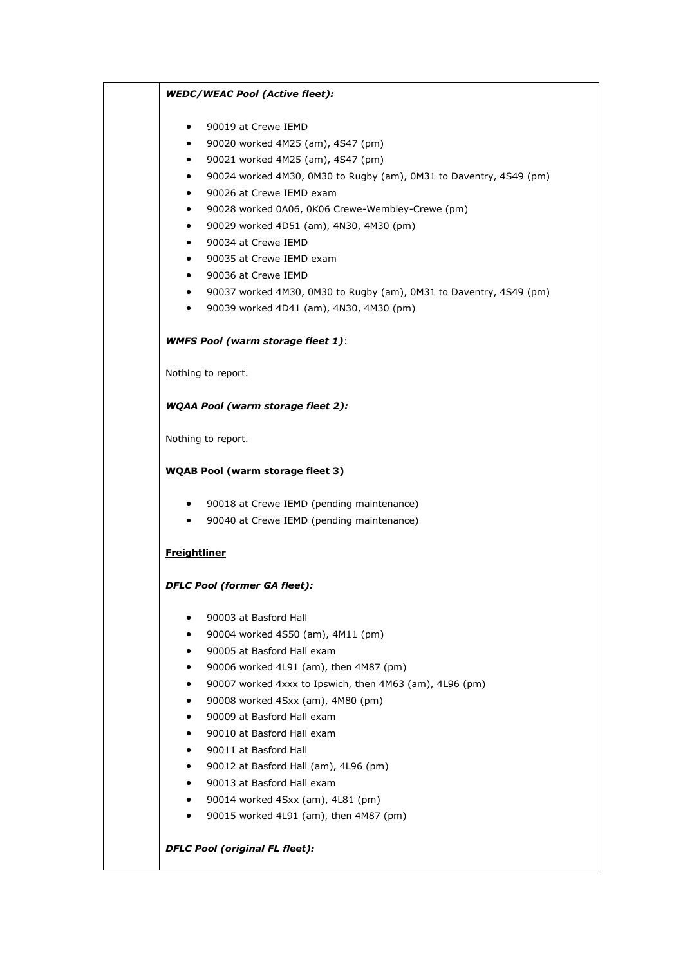### *WEDC/WEAC Pool (Active fleet):*

- 90019 at Crewe IEMD
- 90020 worked 4M25 (am), 4S47 (pm)
- 90021 worked 4M25 (am), 4S47 (pm)
- 90024 worked 4M30, 0M30 to Rugby (am), 0M31 to Daventry, 4S49 (pm)
- 90026 at Crewe IEMD exam
- 90028 worked 0A06, 0K06 Crewe-Wembley-Crewe (pm)
- 90029 worked 4D51 (am), 4N30, 4M30 (pm)
- 90034 at Crewe IEMD
- 90035 at Crewe IEMD exam
- 90036 at Crewe IEMD
- 90037 worked 4M30, 0M30 to Rugby (am), 0M31 to Daventry, 4S49 (pm)
- 90039 worked 4D41 (am), 4N30, 4M30 (pm)

#### *WMFS Pool (warm storage fleet 1)*:

Nothing to report.

#### *WQAA Pool (warm storage fleet 2):*

Nothing to report.

### **WQAB Pool (warm storage fleet 3)**

- 90018 at Crewe IEMD (pending maintenance)
- 90040 at Crewe IEMD (pending maintenance)

#### **Freightliner**

#### *DFLC Pool (former GA fleet):*

- 90003 at Basford Hall
- 90004 worked 4S50 (am), 4M11 (pm)
- 90005 at Basford Hall exam
- 90006 worked 4L91 (am), then 4M87 (pm)
- 90007 worked 4xxx to Ipswich, then 4M63 (am), 4L96 (pm)
- 90008 worked 4Sxx (am), 4M80 (pm)
- 90009 at Basford Hall exam
- 90010 at Basford Hall exam
- 90011 at Basford Hall
- 90012 at Basford Hall (am), 4L96 (pm)
- 90013 at Basford Hall exam
- 90014 worked 4Sxx (am), 4L81 (pm)
- 90015 worked 4L91 (am), then 4M87 (pm)

## *DFLC Pool (original FL fleet):*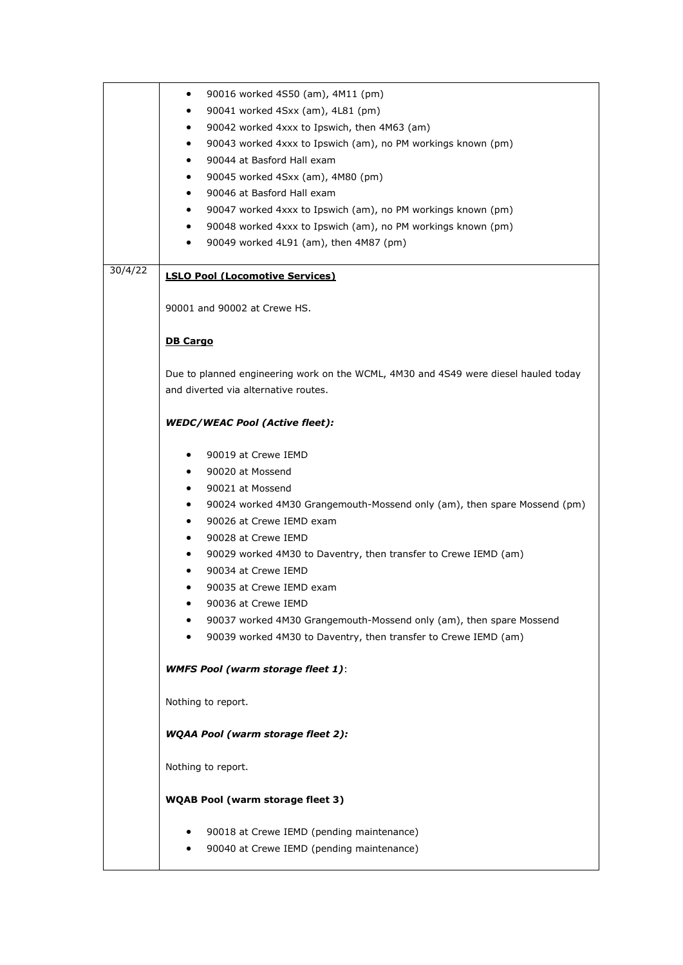|         | 90016 worked 4S50 (am), 4M11 (pm)<br>٠                                                |
|---------|---------------------------------------------------------------------------------------|
|         | 90041 worked 4Sxx (am), 4L81 (pm)<br>٠                                                |
|         | 90042 worked 4xxx to Ipswich, then 4M63 (am)<br>٠                                     |
|         | 90043 worked 4xxx to Ipswich (am), no PM workings known (pm)<br>٠                     |
|         | 90044 at Basford Hall exam                                                            |
|         | 90045 worked 4Sxx (am), 4M80 (pm)<br>$\bullet$                                        |
|         | 90046 at Basford Hall exam<br>٠                                                       |
|         | 90047 worked 4xxx to Ipswich (am), no PM workings known (pm)<br>٠                     |
|         | 90048 worked 4xxx to Ipswich (am), no PM workings known (pm)<br>$\bullet$             |
|         | 90049 worked 4L91 (am), then 4M87 (pm)<br>٠                                           |
|         |                                                                                       |
| 30/4/22 | <b>LSLO Pool (Locomotive Services)</b>                                                |
|         | 90001 and 90002 at Crewe HS.                                                          |
|         | <b>DB Cargo</b>                                                                       |
|         |                                                                                       |
|         | Due to planned engineering work on the WCML, 4M30 and 4S49 were diesel hauled today   |
|         | and diverted via alternative routes.                                                  |
|         | <b>WEDC/WEAC Pool (Active fleet):</b>                                                 |
|         | 90019 at Crewe IEMD<br>$\bullet$                                                      |
|         | 90020 at Mossend<br>$\bullet$                                                         |
|         | 90021 at Mossend<br>٠                                                                 |
|         | 90024 worked 4M30 Grangemouth-Mossend only (am), then spare Mossend (pm)<br>$\bullet$ |
|         | 90026 at Crewe IEMD exam<br>٠                                                         |
|         | 90028 at Crewe IEMD<br>٠                                                              |
|         | 90029 worked 4M30 to Daventry, then transfer to Crewe IEMD (am)<br>٠                  |
|         | 90034 at Crewe IEMD                                                                   |
|         | 90035 at Crewe IEMD exam                                                              |
|         | 90036 at Crewe IEMD                                                                   |
|         | 90037 worked 4M30 Grangemouth-Mossend only (am), then spare Mossend                   |
|         | 90039 worked 4M30 to Daventry, then transfer to Crewe IEMD (am)                       |
|         | <b>WMFS Pool (warm storage fleet 1):</b>                                              |
|         | Nothing to report.                                                                    |
|         | <b>WQAA Pool (warm storage fleet 2):</b>                                              |
|         | Nothing to report.                                                                    |
|         | <b>WQAB Pool (warm storage fleet 3)</b>                                               |
|         | 90018 at Crewe IEMD (pending maintenance)                                             |
|         | 90040 at Crewe IEMD (pending maintenance)                                             |
|         |                                                                                       |